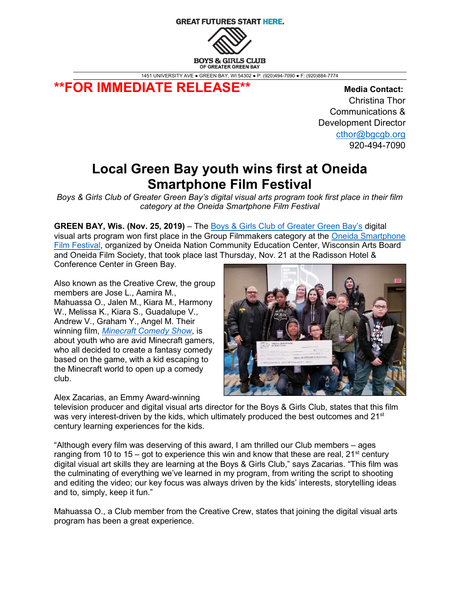# **GREAT FUTURES START HERE.**



1451 UNIVERSITY AVE ● GREEN BAY, WI 54302 ● P: (920)494-7090 ● F: (920)884-7774

\*\*FOR IMMEDIATE RELEASE\*\* Media Contact:

 Christina Thor Communications & Development Director cthor@bgcgb.org 920-494-7090

# Local Green Bay youth wins first at Oneida Smartphone Film Festival

Boys & Girls Club of Greater Green Bay's digital visual arts program took first place in their film category at the Oneida Smartphone Film Festival

**GREEN BAY, Wis. (Nov. 25, 2019)** – The **Boys & Girls Club of Greater Green Bay's** digital

visual arts program won first place in the Group Filmmakers category at the Oneida Smartphone Film Festival, organized by Oneida Nation Community Education Center, Wisconsin Arts Board and Oneida Film Society, that took place last Thursday, Nov. 21 at the Radisson Hotel &

Conference Center in Green Bay.

Also known as the Creative Crew, the group members are Jose L., Aamira M., Mahuassa O., Jalen M., Kiara M., Harmony W., Melissa K., Kiara S., Guadalupe V., Andrew V., Graham Y., Angel M. Their winning film, Minecraft Comedy Show, is about youth who are avid Minecraft gamers, who all decided to create a fantasy comedy based on the game, with a kid escaping to the Minecraft world to open up a comedy club.

Alex Zacarias, an Emmy Award-winning



television producer and digital visual arts director for the Boys & Girls Club, states that this film was very interest-driven by the kids, which ultimately produced the best outcomes and  $21<sup>st</sup>$ century learning experiences for the kids.

"Although every film was deserving of this award, I am thrilled our Club members – ages ranging from 10 to 15 – got to experience this win and know that these are real,  $21^{st}$  century digital visual art skills they are learning at the Boys & Girls Club," says Zacarias. "This film was the culminating of everything we've learned in my program, from writing the script to shooting and editing the video; our key focus was always driven by the kids' interests, storytelling ideas and to, simply, keep it fun."

Mahuassa O., a Club member from the Creative Crew, states that joining the digital visual arts program has been a great experience.